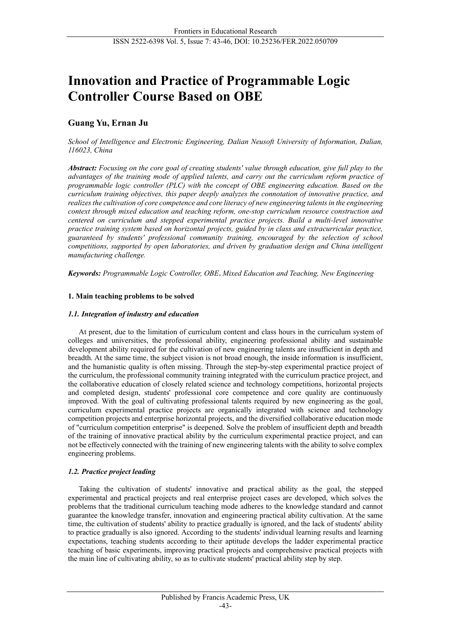# **Innovation and Practice of Programmable Logic Controller Course Based on OBE**

# **Guang Yu, Ernan Ju**

*School of Intelligence and Electronic Engineering, Dalian Neusoft University of Information, Dalian, 116023, China* 

*Abstract: Focusing on the core goal of creating students' value through education, give full play to the advantages of the training mode of applied talents, and carry out the curriculum reform practice of programmable logic controller (PLC) with the concept of OBE engineering education. Based on the curriculum training objectives, this paper deeply analyzes the connotation of innovative practice, and realizes the cultivation of core competence and core literacy of new engineering talents in the engineering context through mixed education and teaching reform, one-stop curriculum resource construction and centered on curriculum and stepped experimental practice projects. Build a multi-level innovative practice training system based on horizontal projects, guided by in class and extracurricular practice, guaranteed by students' professional community training, encouraged by the selection of school competitions, supported by open laboratories, and driven by graduation design and China intelligent manufacturing challenge.* 

*Keywords: Programmable Logic Controller, OBE*,*Mixed Education and Teaching, New Engineering* 

# **1. Main teaching problems to be solved**

#### *1.1. Integration of industry and education*

At present, due to the limitation of curriculum content and class hours in the curriculum system of colleges and universities, the professional ability, engineering professional ability and sustainable development ability required for the cultivation of new engineering talents are insufficient in depth and breadth. At the same time, the subject vision is not broad enough, the inside information is insufficient, and the humanistic quality is often missing. Through the step-by-step experimental practice project of the curriculum, the professional community training integrated with the curriculum practice project, and the collaborative education of closely related science and technology competitions, horizontal projects and completed design, students' professional core competence and core quality are continuously improved. With the goal of cultivating professional talents required by new engineering as the goal, curriculum experimental practice projects are organically integrated with science and technology competition projects and enterprise horizontal projects, and the diversified collaborative education mode of "curriculum competition enterprise" is deepened. Solve the problem of insufficient depth and breadth of the training of innovative practical ability by the curriculum experimental practice project, and can not be effectively connected with the training of new engineering talents with the ability to solve complex engineering problems.

# *1.2. Practice project leading*

Taking the cultivation of students' innovative and practical ability as the goal, the stepped experimental and practical projects and real enterprise project cases are developed, which solves the problems that the traditional curriculum teaching mode adheres to the knowledge standard and cannot guarantee the knowledge transfer, innovation and engineering practical ability cultivation. At the same time, the cultivation of students' ability to practice gradually is ignored, and the lack of students' ability to practice gradually is also ignored. According to the students' individual learning results and learning expectations, teaching students according to their aptitude develops the ladder experimental practice teaching of basic experiments, improving practical projects and comprehensive practical projects with the main line of cultivating ability, so as to cultivate students' practical ability step by step.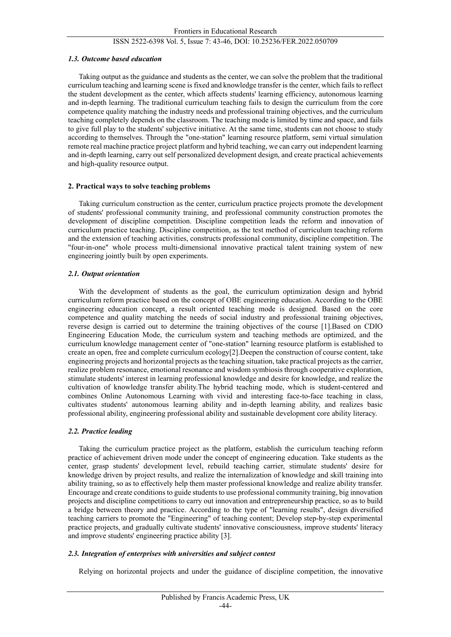# ISSN 2522-6398 Vol. 5, Issue 7: 43-46, DOI: 10.25236/FER.2022.050709

#### *1.3. Outcome based education*

Taking output as the guidance and students as the center, we can solve the problem that the traditional curriculum teaching and learning scene is fixed and knowledge transfer is the center, which fails to reflect the student development as the center, which affects students' learning efficiency, autonomous learning and in-depth learning. The traditional curriculum teaching fails to design the curriculum from the core competence quality matching the industry needs and professional training objectives, and the curriculum teaching completely depends on the classroom. The teaching mode is limited by time and space, and fails to give full play to the students' subjective initiative. At the same time, students can not choose to study according to themselves. Through the "one-station" learning resource platform, semi virtual simulation remote real machine practice project platform and hybrid teaching, we can carry out independent learning and in-depth learning, carry out self personalized development design, and create practical achievements and high-quality resource output.

#### **2. Practical ways to solve teaching problems**

Taking curriculum construction as the center, curriculum practice projects promote the development of students' professional community training, and professional community construction promotes the development of discipline competition. Discipline competition leads the reform and innovation of curriculum practice teaching. Discipline competition, as the test method of curriculum teaching reform and the extension of teaching activities, constructs professional community, discipline competition. The "four-in-one" whole process multi-dimensional innovative practical talent training system of new engineering jointly built by open experiments.

#### *2.1. Output orientation*

With the development of students as the goal, the curriculum optimization design and hybrid curriculum reform practice based on the concept of OBE engineering education. According to the OBE engineering education concept, a result oriented teaching mode is designed. Based on the core competence and quality matching the needs of social industry and professional training objectives, reverse design is carried out to determine the training objectives of the course [1].Based on CDIO Engineering Education Mode, the curriculum system and teaching methods are optimized, and the curriculum knowledge management center of "one-station" learning resource platform is established to create an open, free and complete curriculum ecology[2].Deepen the construction of course content, take engineering projects and horizontal projects as the teaching situation, take practical projects as the carrier, realize problem resonance, emotional resonance and wisdom symbiosis through cooperative exploration, stimulate students' interest in learning professional knowledge and desire for knowledge, and realize the cultivation of knowledge transfer ability.The hybrid teaching mode, which is student-centered and combines Online Autonomous Learning with vivid and interesting face-to-face teaching in class, cultivates students' autonomous learning ability and in-depth learning ability, and realizes basic professional ability, engineering professional ability and sustainable development core ability literacy.

#### *2.2. Practice leading*

Taking the curriculum practice project as the platform, establish the curriculum teaching reform practice of achievement driven mode under the concept of engineering education. Take students as the center, grasp students' development level, rebuild teaching carrier, stimulate students' desire for knowledge driven by project results, and realize the internalization of knowledge and skill training into ability training, so as to effectively help them master professional knowledge and realize ability transfer. Encourage and create conditions to guide students to use professional community training, big innovation projects and discipline competitions to carry out innovation and entrepreneurship practice, so as to build a bridge between theory and practice. According to the type of "learning results", design diversified teaching carriers to promote the "Engineering" of teaching content; Develop step-by-step experimental practice projects, and gradually cultivate students' innovative consciousness, improve students' literacy and improve students' engineering practice ability [3].

#### *2.3. Integration of enterprises with universities and subject contest*

Relying on horizontal projects and under the guidance of discipline competition, the innovative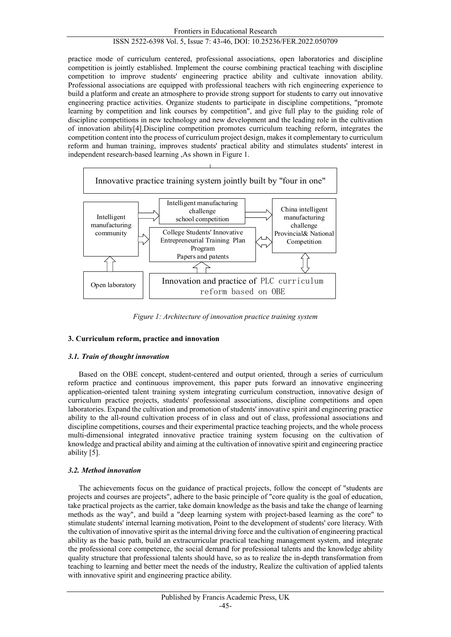# ISSN 2522-6398 Vol. 5, Issue 7: 43-46, DOI: 10.25236/FER.2022.050709

practice mode of curriculum centered, professional associations, open laboratories and discipline competition is jointly established. Implement the course combining practical teaching with discipline competition to improve students' engineering practice ability and cultivate innovation ability. Professional associations are equipped with professional teachers with rich engineering experience to build a platform and create an atmosphere to provide strong support for students to carry out innovative engineering practice activities. Organize students to participate in discipline competitions, "promote learning by competition and link courses by competition", and give full play to the guiding role of discipline competitions in new technology and new development and the leading role in the cultivation of innovation ability[4].Discipline competition promotes curriculum teaching reform, integrates the competition content into the process of curriculum project design, makes it complementary to curriculum reform and human training, improves students' practical ability and stimulates students' interest in independent research-based learning ,As shown in Figure 1.



*Figure 1: Architecture of innovation practice training system* 

# **3. Curriculum reform, practice and innovation**

#### *3.1. Train of thought innovation*

Based on the OBE concept, student-centered and output oriented, through a series of curriculum reform practice and continuous improvement, this paper puts forward an innovative engineering application-oriented talent training system integrating curriculum construction, innovative design of curriculum practice projects, students' professional associations, discipline competitions and open laboratories. Expand the cultivation and promotion of students' innovative spirit and engineering practice ability to the all-round cultivation process of in class and out of class, professional associations and discipline competitions, courses and their experimental practice teaching projects, and the whole process multi-dimensional integrated innovative practice training system focusing on the cultivation of knowledge and practical ability and aiming at the cultivation of innovative spirit and engineering practice ability [5].

#### *3.2. Method innovation*

The achievements focus on the guidance of practical projects, follow the concept of "students are projects and courses are projects", adhere to the basic principle of "core quality is the goal of education, take practical projects as the carrier, take domain knowledge as the basis and take the change of learning methods as the way", and build a "deep learning system with project-based learning as the core" to stimulate students' internal learning motivation, Point to the development of students' core literacy. With the cultivation of innovative spirit as the internal driving force and the cultivation of engineering practical ability as the basic path, build an extracurricular practical teaching management system, and integrate the professional core competence, the social demand for professional talents and the knowledge ability quality structure that professional talents should have, so as to realize the in-depth transformation from teaching to learning and better meet the needs of the industry, Realize the cultivation of applied talents with innovative spirit and engineering practice ability.